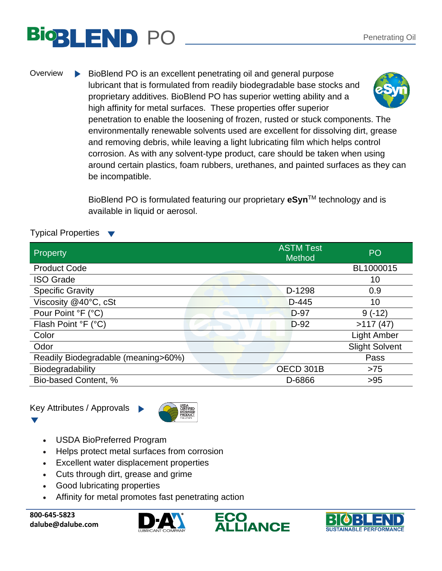## PO Penetrating Oil

Overview BioBlend PO is an excellent penetrating oil and general purpose lubricant that is formulated from readily biodegradable base stocks and proprietary additives. BioBlend PO has superior wetting ability and a high affinity for metal surfaces. These properties offer superior penetration to enable the loosening of frozen, rusted or stuck components. The environmentally renewable solvents used are excellent for dissolving dirt, grease and removing debris, while leaving a light lubricating film which helps control corrosion. As with any solvent-type product, care should be taken when using around certain plastics, foam rubbers, urethanes, and painted surfaces as they can be incompatible.

> BioBlend PO is formulated featuring our proprietary **eSyn**TM technology and is available in liquid or aerosol.

## Typical Properties

| Property                            | <b>ASTM Test</b><br><b>Method</b> | PO                    |
|-------------------------------------|-----------------------------------|-----------------------|
| <b>Product Code</b>                 |                                   | BL1000015             |
| <b>ISO Grade</b>                    |                                   | 10                    |
| <b>Specific Gravity</b>             | D-1298                            | 0.9                   |
| Viscosity @40°C, cSt                | $D-445$                           | 10                    |
| Pour Point °F (°C)                  | D-97                              | $9(-12)$              |
| Flash Point °F (°C)                 | $D-92$                            | >117(47)              |
| Color                               |                                   | <b>Light Amber</b>    |
| Odor                                |                                   | <b>Slight Solvent</b> |
| Readily Biodegradable (meaning>60%) |                                   | Pass                  |
| <b>Biodegradability</b>             | OECD 301B                         | $>75$                 |
| Bio-based Content, %                | D-6866                            | >95                   |

Key Attributes / Approvals



- USDA BioPreferred Program
- Helps protect metal surfaces from corrosion
- Excellent water displacement properties
- Cuts through dirt, grease and grime
- Good lubricating properties
- Affinity for metal promotes fast penetrating action

**800-645-5823 dalube@dalube.com**